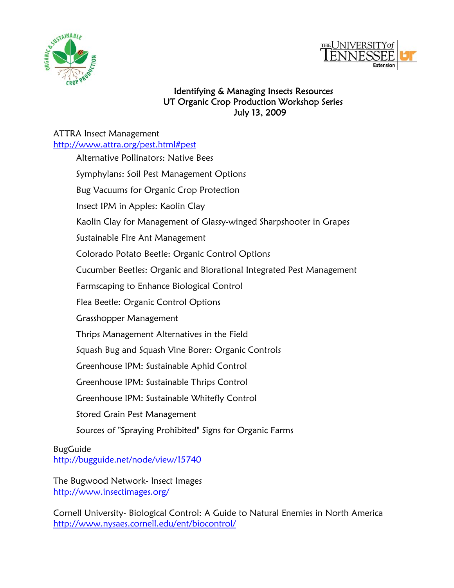



## Identifying & Managing Insects Resources UT Organic Crop Production Workshop Series July 13, 2009

## ATTRA Insect Management

<http://www.attra.org/pest.html#pest> Alternative Pollinators: Native Bees Symphylans: Soil Pest Management Options Bug Vacuums for Organic Crop Protection Insect IPM in Apples: Kaolin Clay Kaolin Clay for Management of Glassy-winged Sharpshooter in Grapes Sustainable Fire Ant Management Colorado Potato Beetle: Organic Control Options Cucumber Beetles: Organic and Biorational Integrated Pest Management Farmscaping to Enhance Biological Control Flea Beetle: Organic Control Options Grasshopper Management Thrips Management Alternatives in the Field Squash Bug and Squash Vine Borer: Organic Controls Greenhouse IPM: Sustainable Aphid Control Greenhouse IPM: Sustainable Thrips Control Greenhouse IPM: Sustainable Whitefly Control Stored Grain Pest Management Sources of "Spraying Prohibited" Signs for Organic Farms

BugGuide <http://bugguide.net/node/view/15740>

The Bugwood Network- Insect Images <http://www.insectimages.org/>

Cornell University- Biological Control: A Guide to Natural Enemies in North America <http://www.nysaes.cornell.edu/ent/biocontrol/>